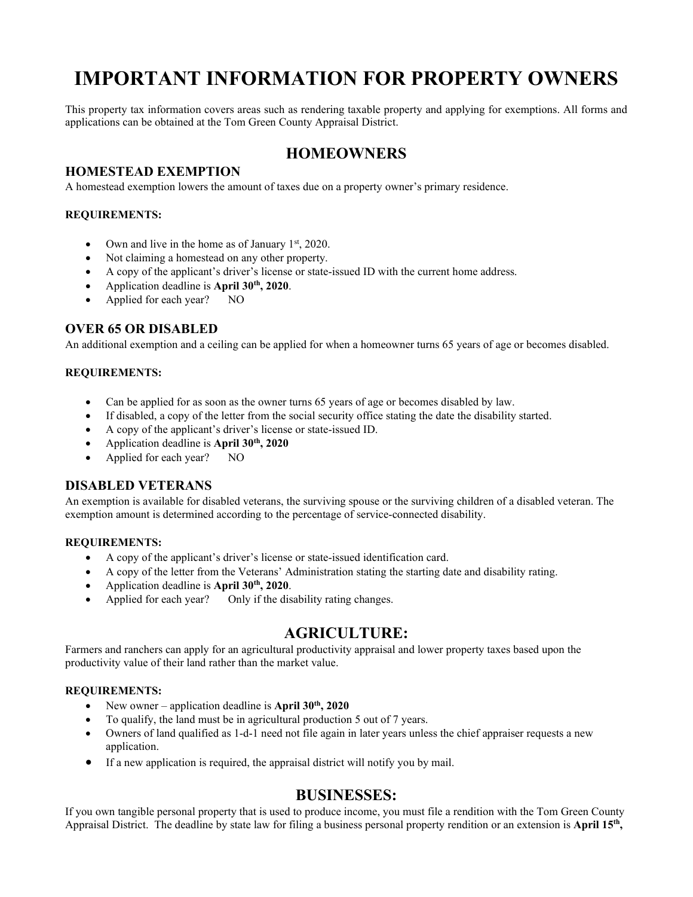# **IMPORTANT INFORMATION FOR PROPERTY OWNERS**

This property tax information covers areas such as rendering taxable property and applying for exemptions. All forms and applications can be obtained at the Tom Green County Appraisal District.

# **HOMEOWNERS**

## **HOMESTEAD EXEMPTION**

A homestead exemption lowers the amount of taxes due on a property owner's primary residence.

#### **REQUIREMENTS:**

- Own and live in the home as of January  $1<sup>st</sup>$ , 2020.
- Not claiming a homestead on any other property.
- A copy of the applicant's driver's license or state-issued ID with the current home address.
- Application deadline is **April 30th, 2020**.
- Applied for each year? NO

#### **OVER 65 OR DISABLED**

An additional exemption and a ceiling can be applied for when a homeowner turns 65 years of age or becomes disabled.

#### **REQUIREMENTS:**

- Can be applied for as soon as the owner turns 65 years of age or becomes disabled by law.
- If disabled, a copy of the letter from the social security office stating the date the disability started.
- A copy of the applicant's driver's license or state-issued ID.
- Application deadline is **April 30th, 2020**
- Applied for each year? NO

#### **DISABLED VETERANS**

An exemption is available for disabled veterans, the surviving spouse or the surviving children of a disabled veteran. The exemption amount is determined according to the percentage of service-connected disability.

#### **REQUIREMENTS:**

- A copy of the applicant's driver's license or state-issued identification card.
- A copy of the letter from the Veterans' Administration stating the starting date and disability rating.
- Application deadline is **April 30th, 2020**.
- Applied for each year? Only if the disability rating changes.

# **AGRICULTURE:**

Farmers and ranchers can apply for an agricultural productivity appraisal and lower property taxes based upon the productivity value of their land rather than the market value.

#### **REQUIREMENTS:**

- New owner application deadline is **April 30<sup>th</sup>**, 2020
- To qualify, the land must be in agricultural production 5 out of 7 years.
- Owners of land qualified as 1-d-1 need not file again in later years unless the chief appraiser requests a new application.
- If a new application is required, the appraisal district will notify you by mail.

## **BUSINESSES:**

If you own tangible personal property that is used to produce income, you must file a rendition with the Tom Green County Appraisal District. The deadline by state law for filing a business personal property rendition or an extension is **April 15th,**